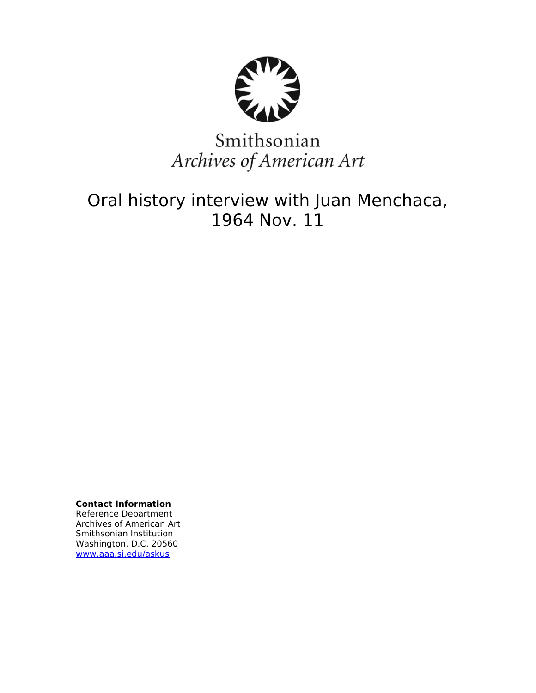

# Smithsonian Archives of American Art

## Oral history interview with Juan Menchaca, 1964 Nov. 11

**Contact Information** Reference Department Archives of American Art Smithsonian Institution Washington. D.C. 20560 [www.aaa.si.edu/askus](http://www.aaa.si.edu/askus)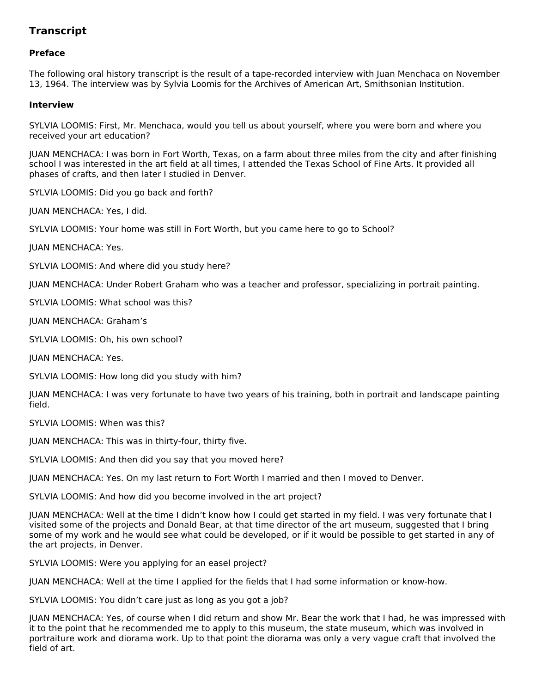### **Transcript**

#### **Preface**

The following oral history transcript is the result of a tape-recorded interview with Juan Menchaca on November 13, 1964. The interview was by Sylvia Loomis for the Archives of American Art, Smithsonian Institution.

#### **Interview**

SYLVIA LOOMIS: First, Mr. Menchaca, would you tell us about yourself, where you were born and where you received your art education?

JUAN MENCHACA: I was born in Fort Worth, Texas, on a farm about three miles from the city and after finishing school I was interested in the art field at all times, I attended the Texas School of Fine Arts. It provided all phases of crafts, and then later I studied in Denver.

SYLVIA LOOMIS: Did you go back and forth?

JUAN MENCHACA: Yes, I did.

SYLVIA LOOMIS: Your home was still in Fort Worth, but you came here to go to School?

JUAN MENCHACA: Yes.

SYLVIA LOOMIS: And where did you study here?

JUAN MENCHACA: Under Robert Graham who was a teacher and professor, specializing in portrait painting.

SYLVIA LOOMIS: What school was this?

JUAN MENCHACA: Graham's

SYLVIA LOOMIS: Oh, his own school?

JUAN MENCHACA: Yes.

SYLVIA LOOMIS: How long did you study with him?

JUAN MENCHACA: I was very fortunate to have two years of his training, both in portrait and landscape painting field.

SYLVIA LOOMIS: When was this?

JUAN MENCHACA: This was in thirty-four, thirty five.

SYLVIA LOOMIS: And then did you say that you moved here?

JUAN MENCHACA: Yes. On my last return to Fort Worth I married and then I moved to Denver.

SYLVIA LOOMIS: And how did you become involved in the art project?

JUAN MENCHACA: Well at the time I didn't know how I could get started in my field. I was very fortunate that I visited some of the projects and Donald Bear, at that time director of the art museum, suggested that I bring some of my work and he would see what could be developed, or if it would be possible to get started in any of the art projects, in Denver.

SYLVIA LOOMIS: Were you applying for an easel project?

JUAN MENCHACA: Well at the time I applied for the fields that I had some information or know-how.

SYLVIA LOOMIS: You didn't care just as long as you got a job?

JUAN MENCHACA: Yes, of course when I did return and show Mr. Bear the work that I had, he was impressed with it to the point that he recommended me to apply to this museum, the state museum, which was involved in portraiture work and diorama work. Up to that point the diorama was only a very vague craft that involved the field of art.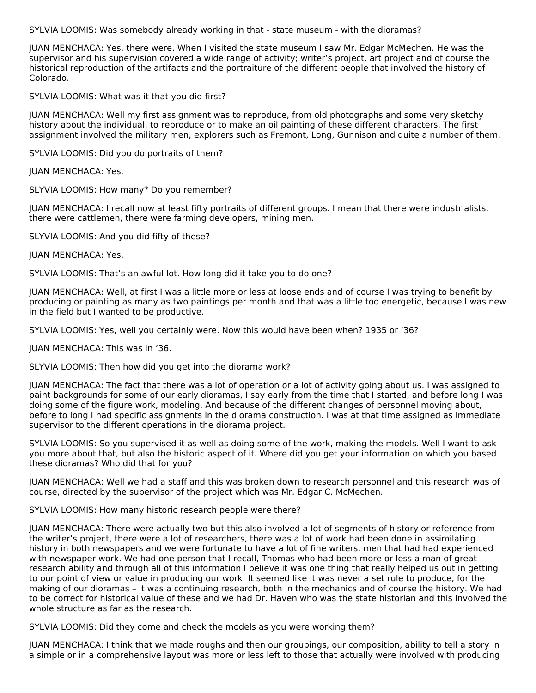SYLVIA LOOMIS: Was somebody already working in that - state museum - with the dioramas?

JUAN MENCHACA: Yes, there were. When I visited the state museum I saw Mr. Edgar McMechen. He was the supervisor and his supervision covered a wide range of activity; writer's project, art project and of course the historical reproduction of the artifacts and the portraiture of the different people that involved the history of Colorado.

SYLVIA LOOMIS: What was it that you did first?

JUAN MENCHACA: Well my first assignment was to reproduce, from old photographs and some very sketchy history about the individual, to reproduce or to make an oil painting of these different characters. The first assignment involved the military men, explorers such as Fremont, Long, Gunnison and quite a number of them.

SYLVIA LOOMIS: Did you do portraits of them?

JUAN MENCHACA: Yes.

SLYVIA LOOMIS: How many? Do you remember?

JUAN MENCHACA: I recall now at least fifty portraits of different groups. I mean that there were industrialists, there were cattlemen, there were farming developers, mining men.

SLYVIA LOOMIS: And you did fifty of these?

JUAN MENCHACA: Yes.

SYLVIA LOOMIS: That's an awful lot. How long did it take you to do one?

JUAN MENCHACA: Well, at first I was a little more or less at loose ends and of course I was trying to benefit by producing or painting as many as two paintings per month and that was a little too energetic, because I was new in the field but I wanted to be productive.

SYLVIA LOOMIS: Yes, well you certainly were. Now this would have been when? 1935 or '36?

JUAN MENCHACA: This was in '36.

SLYVIA LOOMIS: Then how did you get into the diorama work?

JUAN MENCHACA: The fact that there was a lot of operation or a lot of activity going about us. I was assigned to paint backgrounds for some of our early dioramas, I say early from the time that I started, and before long I was doing some of the figure work, modeling. And because of the different changes of personnel moving about, before to long I had specific assignments in the diorama construction. I was at that time assigned as immediate supervisor to the different operations in the diorama project.

SYLVIA LOOMIS: So you supervised it as well as doing some of the work, making the models. Well I want to ask you more about that, but also the historic aspect of it. Where did you get your information on which you based these dioramas? Who did that for you?

JUAN MENCHACA: Well we had a staff and this was broken down to research personnel and this research was of course, directed by the supervisor of the project which was Mr. Edgar C. McMechen.

SYLVIA LOOMIS: How many historic research people were there?

JUAN MENCHACA: There were actually two but this also involved a lot of segments of history or reference from the writer's project, there were a lot of researchers, there was a lot of work had been done in assimilating history in both newspapers and we were fortunate to have a lot of fine writers, men that had had experienced with newspaper work. We had one person that I recall, Thomas who had been more or less a man of great research ability and through all of this information I believe it was one thing that really helped us out in getting to our point of view or value in producing our work. It seemed like it was never a set rule to produce, for the making of our dioramas – it was a continuing research, both in the mechanics and of course the history. We had to be correct for historical value of these and we had Dr. Haven who was the state historian and this involved the whole structure as far as the research.

SYLVIA LOOMIS: Did they come and check the models as you were working them?

JUAN MENCHACA: I think that we made roughs and then our groupings, our composition, ability to tell a story in a simple or in a comprehensive layout was more or less left to those that actually were involved with producing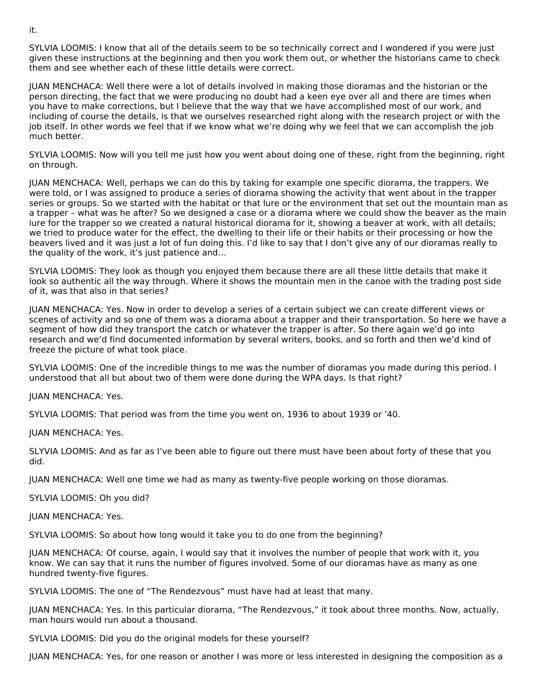SYLVIA LOOMIS: I know that all of the details seem to be so technically correct and I wondered if you were just given these instructions at the beginning and then you work them out, or whether the historians came to check them and see whether each of these little details were correct.

JUAN MENCHACA: Well there were a lot of details involved in making those dioramas and the historian or the person directing, the fact that we were producing no doubt had a keen eye over all and there are times when you have to make corrections, but I believe that the way that we have accomplished most of our work, and including of course the details, is that we ourselves researched right along with the research project or with the job itself. In other words we feel that if we know what we're doing why we feel that we can accomplish the job much better.

SYLVIA LOOMIS: Now will you tell me just how you went about doing one of these, right from the beginning, right on through.

JUAN MENCHACA: Well, perhaps we can do this by taking for example one specific diorama, the trappers. We were told, or I was assigned to produce a series of diorama showing the activity that went about in the trapper series or groups. So we started with the habitat or that lure or the environment that set out the mountain man as a trapper – what was he after? So we designed a case or a diorama where we could show the beaver as the main lure for the trapper so we created a natural historical diorama for it, showing a beaver at work, with all details; we tried to produce water for the effect, the dwelling to their life or their habits or their processing or how the beavers lived and it was just a lot of fun doing this. I'd like to say that I don't give any of our dioramas really to the quality of the work, it's just patience and…

SYLVIA LOOMIS: They look as though you enjoyed them because there are all these little details that make it look so authentic all the way through. Where it shows the mountain men in the canoe with the trading post side of it, was that also in that series?

JUAN MENCHACA: Yes. Now in order to develop a series of a certain subject we can create different views or scenes of activity and so one of them was a diorama about a trapper and their transportation. So here we have a segment of how did they transport the catch or whatever the trapper is after. So there again we'd go into research and we'd find documented information by several writers, books, and so forth and then we'd kind of freeze the picture of what took place.

SYLVIA LOOMIS: One of the incredible things to me was the number of dioramas you made during this period. I understood that all but about two of them were done during the WPA days. Is that right?

JUAN MENCHACA: Yes.

SYLVIA LOOMIS: That period was from the time you went on, 1936 to about 1939 or '40.

JUAN MENCHACA: Yes.

SLYVIA LOOMIS: And as far as I've been able to figure out there must have been about forty of these that you did.

JUAN MENCHACA: Well one time we had as many as twenty-five people working on those dioramas.

SYLVIA LOOMIS: Oh you did?

JUAN MENCHACA: Yes.

SYLVIA LOOMIS: So about how long would it take you to do one from the beginning?

JUAN MENCHACA: Of course, again, I would say that it involves the number of people that work with it, you know. We can say that it runs the number of figures involved. Some of our dioramas have as many as one hundred twenty-five figures.

SYLVIA LOOMIS: The one of "The Rendezvous" must have had at least that many.

JUAN MENCHACA: Yes. In this particular diorama, "The Rendezvous," it took about three months. Now, actually, man hours would run about a thousand.

SYLVIA LOOMIS: Did you do the original models for these yourself?

JUAN MENCHACA: Yes, for one reason or another I was more or less interested in designing the composition as a

it.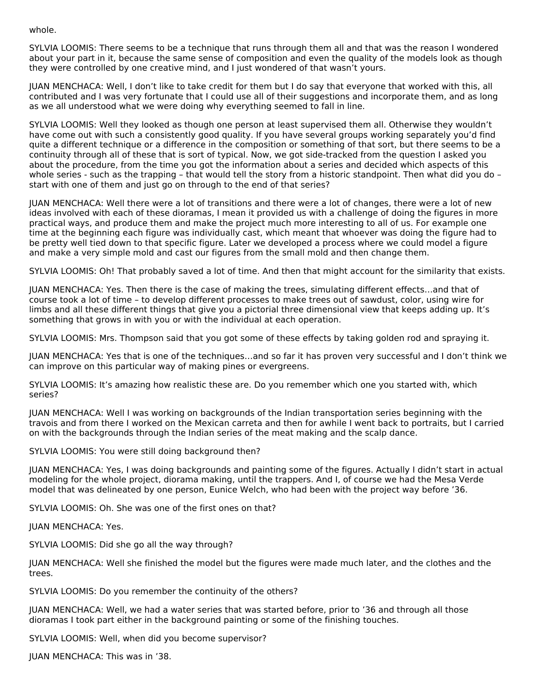whole.

SYLVIA LOOMIS: There seems to be a technique that runs through them all and that was the reason I wondered about your part in it, because the same sense of composition and even the quality of the models look as though they were controlled by one creative mind, and I just wondered of that wasn't yours.

JUAN MENCHACA: Well, I don't like to take credit for them but I do say that everyone that worked with this, all contributed and I was very fortunate that I could use all of their suggestions and incorporate them, and as long as we all understood what we were doing why everything seemed to fall in line.

SYLVIA LOOMIS: Well they looked as though one person at least supervised them all. Otherwise they wouldn't have come out with such a consistently good quality. If you have several groups working separately you'd find quite a different technique or a difference in the composition or something of that sort, but there seems to be a continuity through all of these that is sort of typical. Now, we got side-tracked from the question I asked you about the procedure, from the time you got the information about a series and decided which aspects of this whole series - such as the trapping – that would tell the story from a historic standpoint. Then what did you do – start with one of them and just go on through to the end of that series?

JUAN MENCHACA: Well there were a lot of transitions and there were a lot of changes, there were a lot of new ideas involved with each of these dioramas, I mean it provided us with a challenge of doing the figures in more practical ways, and produce them and make the project much more interesting to all of us. For example one time at the beginning each figure was individually cast, which meant that whoever was doing the figure had to be pretty well tied down to that specific figure. Later we developed a process where we could model a figure and make a very simple mold and cast our figures from the small mold and then change them.

SYLVIA LOOMIS: Oh! That probably saved a lot of time. And then that might account for the similarity that exists.

JUAN MENCHACA: Yes. Then there is the case of making the trees, simulating different effects…and that of course took a lot of time – to develop different processes to make trees out of sawdust, color, using wire for limbs and all these different things that give you a pictorial three dimensional view that keeps adding up. It's something that grows in with you or with the individual at each operation.

SYLVIA LOOMIS: Mrs. Thompson said that you got some of these effects by taking golden rod and spraying it.

JUAN MENCHACA: Yes that is one of the techniques…and so far it has proven very successful and I don't think we can improve on this particular way of making pines or evergreens.

SYLVIA LOOMIS: It's amazing how realistic these are. Do you remember which one you started with, which series?

JUAN MENCHACA: Well I was working on backgrounds of the Indian transportation series beginning with the travois and from there I worked on the Mexican carreta and then for awhile I went back to portraits, but I carried on with the backgrounds through the Indian series of the meat making and the scalp dance.

SYLVIA LOOMIS: You were still doing background then?

JUAN MENCHACA: Yes, I was doing backgrounds and painting some of the figures. Actually I didn't start in actual modeling for the whole project, diorama making, until the trappers. And I, of course we had the Mesa Verde model that was delineated by one person, Eunice Welch, who had been with the project way before '36.

SYLVIA LOOMIS: Oh. She was one of the first ones on that?

JUAN MENCHACA: Yes.

SYLVIA LOOMIS: Did she go all the way through?

JUAN MENCHACA: Well she finished the model but the figures were made much later, and the clothes and the trees.

SYLVIA LOOMIS: Do you remember the continuity of the others?

JUAN MENCHACA: Well, we had a water series that was started before, prior to '36 and through all those dioramas I took part either in the background painting or some of the finishing touches.

SYLVIA LOOMIS: Well, when did you become supervisor?

JUAN MENCHACA: This was in '38.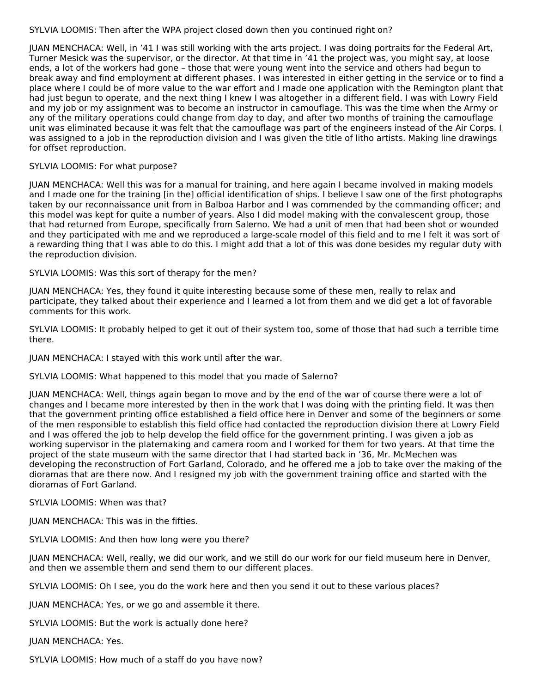SYLVIA LOOMIS: Then after the WPA project closed down then you continued right on?

JUAN MENCHACA: Well, in '41 I was still working with the arts project. I was doing portraits for the Federal Art, Turner Mesick was the supervisor, or the director. At that time in '41 the project was, you might say, at loose ends, a lot of the workers had gone – those that were young went into the service and others had begun to break away and find employment at different phases. I was interested in either getting in the service or to find a place where I could be of more value to the war effort and I made one application with the Remington plant that had just begun to operate, and the next thing I knew I was altogether in a different field. I was with Lowry Field and my job or my assignment was to become an instructor in camouflage. This was the time when the Army or any of the military operations could change from day to day, and after two months of training the camouflage unit was eliminated because it was felt that the camouflage was part of the engineers instead of the Air Corps. I was assigned to a job in the reproduction division and I was given the title of litho artists. Making line drawings for offset reproduction.

#### SYLVIA LOOMIS: For what purpose?

JUAN MENCHACA: Well this was for a manual for training, and here again I became involved in making models and I made one for the training [in the] official identification of ships. I believe I saw one of the first photographs taken by our reconnaissance unit from in Balboa Harbor and I was commended by the commanding officer; and this model was kept for quite a number of years. Also I did model making with the convalescent group, those that had returned from Europe, specifically from Salerno. We had a unit of men that had been shot or wounded and they participated with me and we reproduced a large-scale model of this field and to me I felt it was sort of a rewarding thing that I was able to do this. I might add that a lot of this was done besides my regular duty with the reproduction division.

SYLVIA LOOMIS: Was this sort of therapy for the men?

JUAN MENCHACA: Yes, they found it quite interesting because some of these men, really to relax and participate, they talked about their experience and I learned a lot from them and we did get a lot of favorable comments for this work.

SYLVIA LOOMIS: It probably helped to get it out of their system too, some of those that had such a terrible time there.

JUAN MENCHACA: I stayed with this work until after the war.

SYLVIA LOOMIS: What happened to this model that you made of Salerno?

JUAN MENCHACA: Well, things again began to move and by the end of the war of course there were a lot of changes and I became more interested by then in the work that I was doing with the printing field. It was then that the government printing office established a field office here in Denver and some of the beginners or some of the men responsible to establish this field office had contacted the reproduction division there at Lowry Field and I was offered the job to help develop the field office for the government printing. I was given a job as working supervisor in the platemaking and camera room and I worked for them for two years. At that time the project of the state museum with the same director that I had started back in '36, Mr. McMechen was developing the reconstruction of Fort Garland, Colorado, and he offered me a job to take over the making of the dioramas that are there now. And I resigned my job with the government training office and started with the dioramas of Fort Garland.

#### SYLVIA LOOMIS: When was that?

JUAN MENCHACA: This was in the fifties.

SYLVIA LOOMIS: And then how long were you there?

JUAN MENCHACA: Well, really, we did our work, and we still do our work for our field museum here in Denver, and then we assemble them and send them to our different places.

SYLVIA LOOMIS: Oh I see, you do the work here and then you send it out to these various places?

JUAN MENCHACA: Yes, or we go and assemble it there.

SYLVIA LOOMIS: But the work is actually done here?

JUAN MENCHACA: Yes.

SYLVIA LOOMIS: How much of a staff do you have now?